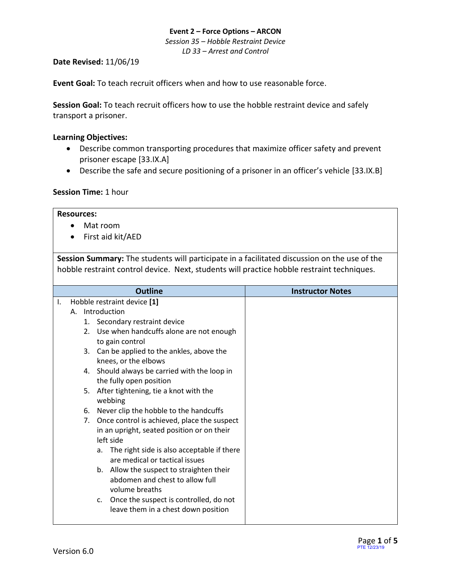*Session 35 – Hobble Restraint Device LD 33 – Arrest and Control*

### **Date Revised:** 11/06/19

**Event Goal:** To teach recruit officers when and how to use reasonable force.

**Session Goal:** To teach recruit officers how to use the hobble restraint device and safely transport a prisoner.

### <span id="page-0-0"></span>**Learning Objectives:**

- [Describe common transporting procedures that maximize officer safety and prevent](#page-2-0)  [prisoner escape](#page-2-0) [33.IX.A]
- [Describe the safe and secure positioning of a prisoner in an officer's vehicle](#page-2-1) [33.IX.B]

# **Session Time:** 1 hour

### **Resources:**

- Mat room
- First aid kit/AED

**Session Summary:** The students will participate in a facilitated discussion on the use of the hobble restraint control device. Next, students will practice hobble restraint techniques.

|    |           | <b>Outline</b>                                                                                | <b>Instructor Notes</b> |
|----|-----------|-----------------------------------------------------------------------------------------------|-------------------------|
| Ι. |           | Hobble restraint device [1]                                                                   |                         |
|    |           | A. Introduction                                                                               |                         |
|    |           | 1. Secondary restraint device                                                                 |                         |
|    |           | 2. Use when handcuffs alone are not enough<br>to gain control                                 |                         |
|    |           | 3. Can be applied to the ankles, above the<br>knees, or the elbows                            |                         |
|    | 4.        | Should always be carried with the loop in<br>the fully open position                          |                         |
|    | 5.        | After tightening, tie a knot with the<br>webbing                                              |                         |
|    | 6.        | Never clip the hobble to the handcuffs                                                        |                         |
|    | 7.        | Once control is achieved, place the suspect                                                   |                         |
|    |           | in an upright, seated position or on their                                                    |                         |
|    | left side |                                                                                               |                         |
|    |           | The right side is also acceptable if there<br>а.<br>are medical or tactical issues            |                         |
|    |           | b. Allow the suspect to straighten their<br>abdomen and chest to allow full<br>volume breaths |                         |
|    |           | Once the suspect is controlled, do not<br>C.<br>leave them in a chest down position           |                         |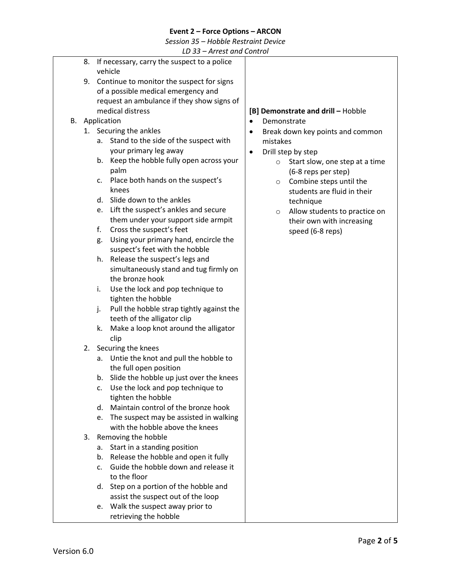*Session 35 – Hobble Restraint Device*

*LD 33 – Arrest and Control*

|    | LD 33 – Arrest and Control                      |                                               |  |
|----|-------------------------------------------------|-----------------------------------------------|--|
| 8. | If necessary, carry the suspect to a police     |                                               |  |
|    | vehicle                                         |                                               |  |
|    | 9. Continue to monitor the suspect for signs    |                                               |  |
|    | of a possible medical emergency and             |                                               |  |
|    | request an ambulance if they show signs of      |                                               |  |
|    | medical distress                                | [B] Demonstrate and drill - Hobble            |  |
|    | <b>B.</b> Application                           | Demonstrate<br>$\bullet$                      |  |
|    | 1. Securing the ankles                          | Break down key points and common<br>$\bullet$ |  |
|    | Stand to the side of the suspect with<br>a.     | mistakes                                      |  |
|    | your primary leg away                           | Drill step by step<br>$\bullet$               |  |
|    | b. Keep the hobble fully open across your       | Start slow, one step at a time<br>$\circ$     |  |
|    | palm                                            | (6-8 reps per step)                           |  |
|    | Place both hands on the suspect's<br>c.         | Combine steps until the<br>$\circ$            |  |
|    | knees                                           | students are fluid in their                   |  |
|    | Slide down to the ankles<br>d.                  | technique                                     |  |
|    | e. Lift the suspect's ankles and secure         | Allow students to practice on<br>$\circ$      |  |
|    | them under your support side armpit             | their own with increasing                     |  |
|    | f.<br>Cross the suspect's feet                  | speed (6-8 reps)                              |  |
|    | Using your primary hand, encircle the<br>g.     |                                               |  |
|    | suspect's feet with the hobble                  |                                               |  |
|    | Release the suspect's legs and<br>h.            |                                               |  |
|    | simultaneously stand and tug firmly on          |                                               |  |
|    | the bronze hook                                 |                                               |  |
|    | i.<br>Use the lock and pop technique to         |                                               |  |
|    | tighten the hobble                              |                                               |  |
|    | Pull the hobble strap tightly against the<br>j. |                                               |  |
|    | teeth of the alligator clip                     |                                               |  |
|    | Make a loop knot around the alligator<br>k.     |                                               |  |
|    | clip                                            |                                               |  |
|    | 2. Securing the knees                           |                                               |  |
|    | Untie the knot and pull the hobble to<br>a.     |                                               |  |
|    | the full open position                          |                                               |  |
|    | Slide the hobble up just over the knees<br>b.   |                                               |  |
|    | Use the lock and pop technique to<br>c.         |                                               |  |
|    | tighten the hobble                              |                                               |  |
|    | Maintain control of the bronze hook<br>d.       |                                               |  |
|    | The suspect may be assisted in walking<br>e.    |                                               |  |
|    | with the hobble above the knees                 |                                               |  |
| 3. | Removing the hobble                             |                                               |  |
|    | Start in a standing position<br>а.              |                                               |  |
|    | Release the hobble and open it fully<br>b.      |                                               |  |
|    | Guide the hobble down and release it<br>C.      |                                               |  |
|    | to the floor                                    |                                               |  |
|    | Step on a portion of the hobble and<br>d.       |                                               |  |
|    | assist the suspect out of the loop              |                                               |  |
|    | Walk the suspect away prior to<br>e.            |                                               |  |
|    | retrieving the hobble                           |                                               |  |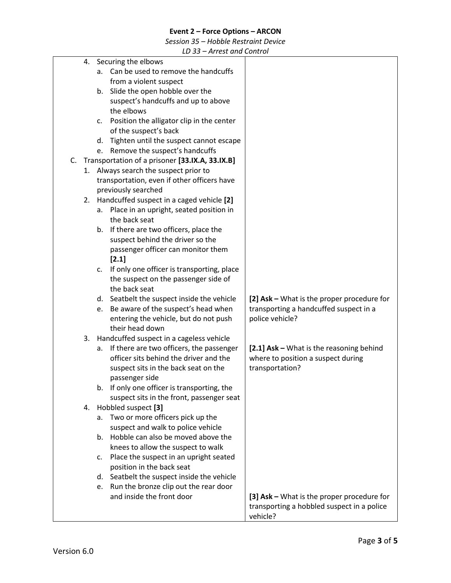*Session 35 – Hobble Restraint Device*

*LD 33 – Arrest and Control*

<span id="page-2-1"></span><span id="page-2-0"></span>

|  |    |                | LD 33 – Affest dhu Control                                                         |                                            |
|--|----|----------------|------------------------------------------------------------------------------------|--------------------------------------------|
|  |    |                | 4. Securing the elbows                                                             |                                            |
|  |    | a.             | Can be used to remove the handcuffs                                                |                                            |
|  |    |                | from a violent suspect                                                             |                                            |
|  |    | b.             | Slide the open hobble over the                                                     |                                            |
|  |    |                | suspect's handcuffs and up to above                                                |                                            |
|  |    |                | the elbows                                                                         |                                            |
|  |    | c.             | Position the alligator clip in the center                                          |                                            |
|  |    |                | of the suspect's back                                                              |                                            |
|  |    | d.             | Tighten until the suspect cannot escape                                            |                                            |
|  |    | e.             | Remove the suspect's handcuffs                                                     |                                            |
|  |    |                | C. Transportation of a prisoner [33.IX.A, 33.IX.B]                                 |                                            |
|  |    |                | 1. Always search the suspect prior to                                              |                                            |
|  |    |                | transportation, even if other officers have                                        |                                            |
|  |    |                | previously searched                                                                |                                            |
|  |    |                | 2. Handcuffed suspect in a caged vehicle [2]                                       |                                            |
|  |    |                | a. Place in an upright, seated position in                                         |                                            |
|  |    |                | the back seat                                                                      |                                            |
|  |    |                | b. If there are two officers, place the                                            |                                            |
|  |    |                | suspect behind the driver so the                                                   |                                            |
|  |    |                | passenger officer can monitor them                                                 |                                            |
|  |    |                | [2.1]                                                                              |                                            |
|  |    |                |                                                                                    |                                            |
|  |    | C.             | If only one officer is transporting, place                                         |                                            |
|  |    |                | the suspect on the passenger side of<br>the back seat                              |                                            |
|  |    |                |                                                                                    |                                            |
|  |    |                | d. Seatbelt the suspect inside the vehicle                                         | [2] Ask - What is the proper procedure for |
|  |    | e.             | Be aware of the suspect's head when                                                | transporting a handcuffed suspect in a     |
|  |    |                | entering the vehicle, but do not push<br>their head down                           | police vehicle?                            |
|  |    |                |                                                                                    |                                            |
|  | 3. |                | Handcuffed suspect in a cageless vehicle                                           |                                            |
|  |    | а.             | If there are two officers, the passenger<br>officer sits behind the driver and the | [2.1] Ask - What is the reasoning behind   |
|  |    |                |                                                                                    | where to position a suspect during         |
|  |    |                | suspect sits in the back seat on the                                               | transportation?                            |
|  |    |                | passenger side                                                                     |                                            |
|  |    | b.             | If only one officer is transporting, the                                           |                                            |
|  |    |                | suspect sits in the front, passenger seat                                          |                                            |
|  | 4. |                | Hobbled suspect [3]                                                                |                                            |
|  |    | a.             | Two or more officers pick up the                                                   |                                            |
|  |    |                | suspect and walk to police vehicle                                                 |                                            |
|  |    | b <sub>1</sub> | Hobble can also be moved above the                                                 |                                            |
|  |    |                | knees to allow the suspect to walk                                                 |                                            |
|  |    | c.             | Place the suspect in an upright seated                                             |                                            |
|  |    |                | position in the back seat                                                          |                                            |
|  |    | d.             | Seatbelt the suspect inside the vehicle                                            |                                            |
|  |    | e.             | Run the bronze clip out the rear door                                              |                                            |
|  |    |                | and inside the front door                                                          | [3] Ask – What is the proper procedure for |
|  |    |                |                                                                                    | transporting a hobbled suspect in a police |
|  |    |                |                                                                                    | vehicle?                                   |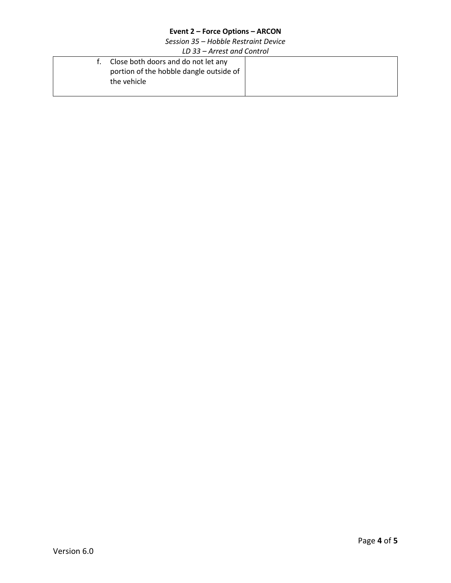*Session 35 – Hobble Restraint Device*

*LD 33 – Arrest and Control*

| f. Close both doors and do not let any  |  |
|-----------------------------------------|--|
| portion of the hobble dangle outside of |  |
| the vehicle                             |  |
|                                         |  |